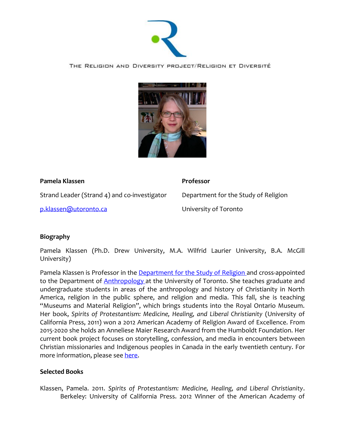

## THE RELIGION AND DIVERSITY PROJECT/RELIGION ET DIVERSITÉ



| Pamela Klassen                               | <b>Professor</b>                     |
|----------------------------------------------|--------------------------------------|
| Strand Leader (Strand 4) and co-investigator | Department for the Study of Religion |
| p.klassen@utoronto.ca                        | University of Toronto                |

## **Biography**

Pamela Klassen (Ph.D. Drew University, M.A. Wilfrid Laurier University, B.A. McGill University)

Pamela Klassen is Professor in the [Department for the Study of Religion](http://www.religion.utoronto.ca/) and cross-appointed to the Department of **Anthropology** at the University of Toronto. She teaches graduate and undergraduate students in areas of the anthropology and history of Christianity in North America, religion in the public sphere, and religion and media. This fall, she is teaching "Museums and Material Religion", which brings students into the Royal Ontario Museum. Her book, *Spirits of Protestantism: Medicine, Healing, and Liberal Christianity* (University of California Press, 2011) won a 2012 American Academy of Religion Award of Excellence. From 2015-2020 she holds an Anneliese Maier Research Award from the Humboldt Foundation. Her current book project focuses on storytelling, confession, and media in encounters between Christian missionaries and Indigenous peoples in Canada in the early twentieth century. For more information, please see [here.](http://projects.chass.utoronto.ca/pklassen/)

## **Selected Books**

Klassen, Pamela. 2011. *Spirits of Protestantism: Medicine, Healing, and Liberal Christianity*. Berkeley: University of California Press. 2012 Winner of the American Academy of